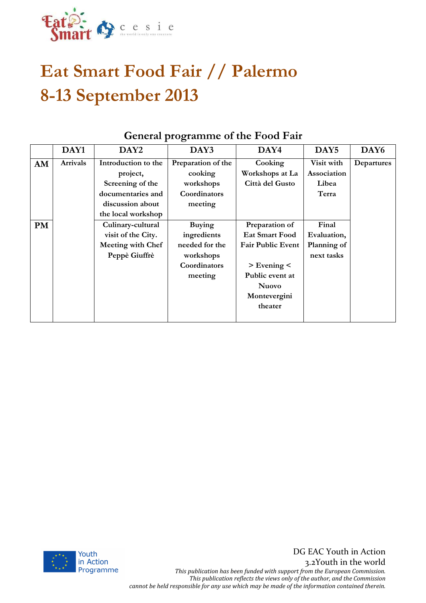

# **Eat Smart Food Fair // Palermo 8-13 September 2013**

|           | DAY1     | DAY <sub>2</sub>         | DAY3               | DAY4                     | DAY <sub>5</sub> | DAY <sub>6</sub> |
|-----------|----------|--------------------------|--------------------|--------------------------|------------------|------------------|
| AM        | Arrivals | Introduction to the      | Preparation of the | Cooking                  | Visit with       | Departures       |
|           |          | project,                 | cooking            | Workshops at La          | Association      |                  |
|           |          | Screening of the         | workshops          | Città del Gusto          | Libea            |                  |
|           |          | documentaries and        | Coordinators       |                          | Terra            |                  |
|           |          | discussion about         | meeting            |                          |                  |                  |
|           |          | the local workshop       |                    |                          |                  |                  |
| <b>PM</b> |          | Culinary-cultural        | <b>Buying</b>      | Preparation of           | Final            |                  |
|           |          | visit of the City.       | ingredients        | <b>Eat Smart Food</b>    | Evaluation,      |                  |
|           |          | <b>Meeting with Chef</b> | needed for the     | <b>Fair Public Event</b> | Planning of      |                  |
|           |          | Peppè Giuffrè            | workshops          |                          | next tasks       |                  |
|           |          |                          | Coordinators       | $>$ Evening $<$          |                  |                  |
|           |          |                          | meeting            | Public event at          |                  |                  |
|           |          |                          |                    | <b>Nuovo</b>             |                  |                  |
|           |          |                          |                    | Montevergini             |                  |                  |
|           |          |                          |                    | theater                  |                  |                  |
|           |          |                          |                    |                          |                  |                  |

# **General programme of the Food Fair**



3.2Youth in the world *This publication has been funded with support from the European Commission. This publication reflects the views only of the author, and the Commission cannot be held responsible for any use which may be made of the information contained therein.*

DG EAC Youth in Action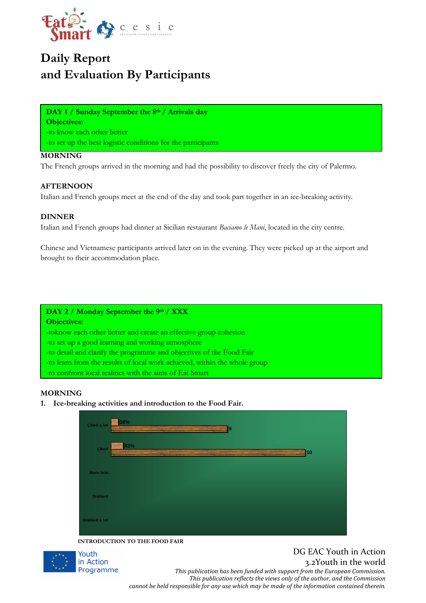

# **Daily Report and Evaluation By Participants**

**DAY 1 / Sunday September the 8th / Arrivals day Objectives:**  -to know each other better -to set up the best logistic conditions for the participants

#### **MORNING**

The French groups arrived in the morning and had the possibility to discover freely the city of Palermo.

#### **AFTERNOON**

Italian and French groups meet at the end of the day and took part together in an ice-breaking activity.

#### **DINNER**

Italian and French groups had dinner at Sicilian restaurant *Baciamo le Mani*, located in the city centre.

Chinese and Vietnamese participants arrived later on in the evening. They were picked up at the airport and brought to their accommodation place.

#### **DAY 2 / Monday September the 9th / XXX**

**Objectives:** 

-toknow each other better and create an effective group cohesion

-to set up a good learning and working atmosphere

-to detail and clarify the programme and objectives of the Food Fair

-to learn from the results of local work achieved, within the whole group

-to confront local realities with the aims of Eat Smart

#### **MORNING**

**1. Ice-breaking activities and introduction to the Food Fair.** 

| Liked a lot     | 38%<br>6  |
|-----------------|-----------|
| Liked           | 63%<br>10 |
| More less       |           |
| <b>Disliked</b> |           |
| Disliked a lot  |           |

 **INTRODUCTION TO THE FOOD FAIR** 



### DG EAC Youth in Action 3.2Youth in the world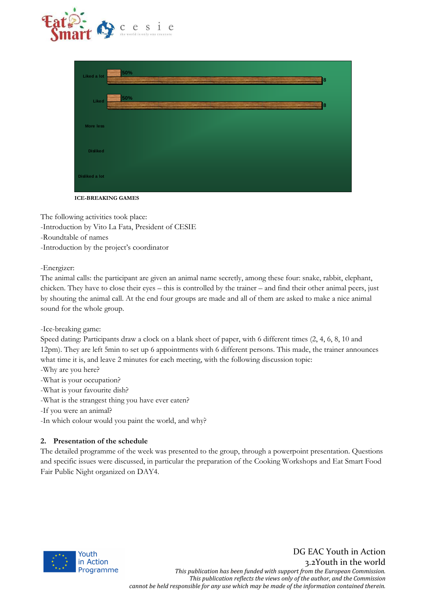



 **ICE-BREAKING GAMES** 

The following activities took place:

- -Introduction by Vito La Fata, President of CESIE
- -Roundtable of names
- -Introduction by the project's coordinator

#### -Energizer:

The animal calls: the participant are given an animal name secretly, among these four: snake, rabbit, elephant, chicken. They have to close their eyes – this is controlled by the trainer – and find their other animal peers, just by shouting the animal call. At the end four groups are made and all of them are asked to make a nice animal sound for the whole group.

#### -Ice-breaking game:

Speed dating: Participants draw a clock on a blank sheet of paper, with 6 different times (2, 4, 6, 8, 10 and 12pm). They are left 5min to set up 6 appointments with 6 different persons. This made, the trainer announces what time it is, and leave 2 minutes for each meeting, with the following discussion topic:

-Why are you here?

-What is your occupation?

-What is your favourite dish?

-What is the strangest thing you have ever eaten?

-If you were an animal?

-In which colour would you paint the world, and why?

#### **2. Presentation of the schedule**

The detailed programme of the week was presented to the group, through a powerpoint presentation. Questions and specific issues were discussed, in particular the preparation of the Cooking Workshops and Eat Smart Food Fair Public Night organized on DAY4.

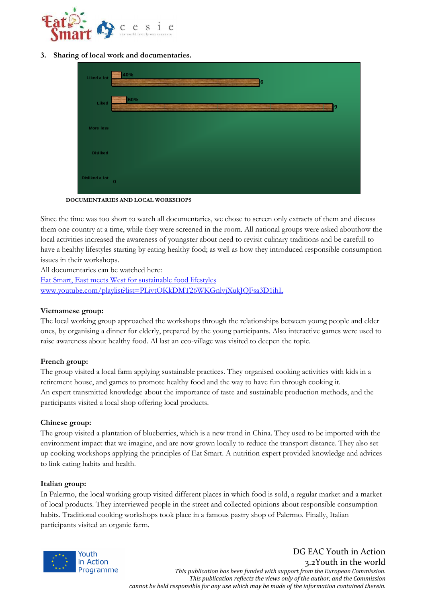

**3. Sharing of local work and documentaries.** 

| Liked a lot    | 40%<br>6              |
|----------------|-----------------------|
| Liked          | 60%<br>$\overline{9}$ |
| More less      |                       |
| Disliked       |                       |
| Disliked a lot | $\bf{0}$              |

**DOCUMENTARIES AND LOCAL WORKSHOPS** 

Since the time was too short to watch all documentaries, we chose to screen only extracts of them and discuss them one country at a time, while they were screened in the room. All national groups were asked abouthow the local activities increased the awareness of youngster about need to revisit culinary traditions and be carefull to have a healthy lifestyles starting by eating healthy food; as well as how they introduced responsible consumption issues in their workshops.

All documentaries can be watched here: Eat Smart, East meets West for sustainable food lifestyles www.youtube.com/playlist?list=PLivtOKkDMT26WKGnlvjXukJQFsa3D1ihL

#### **Vietnamese group:**

The local working group approached the workshops through the relationships between young people and elder ones, by organising a dinner for elderly, prepared by the young participants. Also interactive games were used to raise awareness about healthy food. Al last an eco-village was visited to deepen the topic.

#### **French group:**

The group visited a local farm applying sustainable practices. They organised cooking activities with kids in a retirement house, and games to promote healthy food and the way to have fun through cooking it. An expert transmitted knowledge about the importance of taste and sustainable production methods, and the participants visited a local shop offering local products.

#### **Chinese group:**

The group visited a plantation of blueberries, which is a new trend in China. They used to be imported with the environment impact that we imagine, and are now grown locally to reduce the transport distance. They also set up cooking workshops applying the principles of Eat Smart. A nutrition expert provided knowledge and advices to link eating habits and health.

#### **Italian group:**

In Palermo, the local working group visited different places in which food is sold, a regular market and a market of local products. They interviewed people in the street and collected opinions about responsible consumption habits. Traditional cooking workshops took place in a famous pastry shop of Palermo. Finally, Italian participants visited an organic farm.



# DG EAC Youth in Action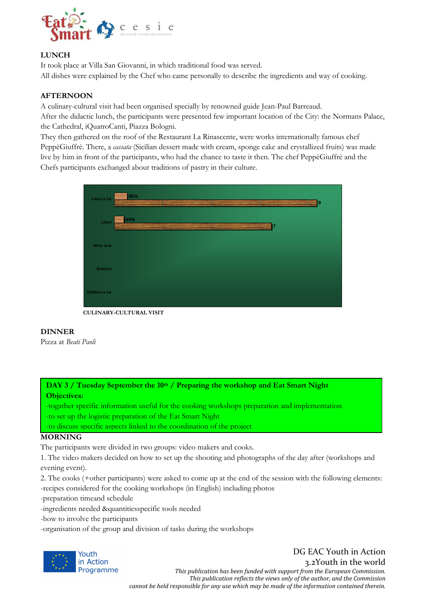

#### **LUNCH**

It took place at Villa San Giovanni, in which traditional food was served. All dishes were explained by the Chef who came personally to describe the ingredients and way of cooking.

#### **AFTERNOON**

A culinary-cultural visit had been organised specially by renowned guide Jean-Paul Barreaud.

After the didactic lunch, the participants were presented few important location of the City: the Normans Palace, the Cathedral, iQuatroCanti, Piazza Bologni.

They then gathered on the roof of the Restaurant La Rinascente, were works internationally famous chef PeppèGiuffrè. There, a *cassata* (Sicilian dessert made with cream, sponge cake and crystallized fruits) was made live by him in front of the participants, who had the chance to taste it then. The chef PeppèGiuffrè and the Chefs participants exchanged about traditions of pastry in their culture.



 **CULINARY-CULTURAL VISIT** 

#### **DINNER**

Pizza at *Beati Paoli*

**DAY 3 / Tuesday September the 10th / Preparing the workshop and Eat Smart Night Objectives:** 

-togather specific information useful for the cooking workshops preparation and implementation -to set up the logistic preparation of the Eat Smart Night

-to discuss specific aspects linked to the coordination of the project

#### **MORNING**

The participants were divided in two groups: video makers and cooks.

1. The video makers decided on how to set up the shooting and photographs of the day after (workshops and evening event).

2. The cooks (+other participants) were asked to come up at the end of the session with the following elements: -recipes considered for the cooking workshops (in English) including photos

-preparation timeand schedule

-ingredients needed &quantitiesspecific tools needed

-how to involve the participants

-organisation of the group and division of tasks during the workshops



DG EAC Youth in Action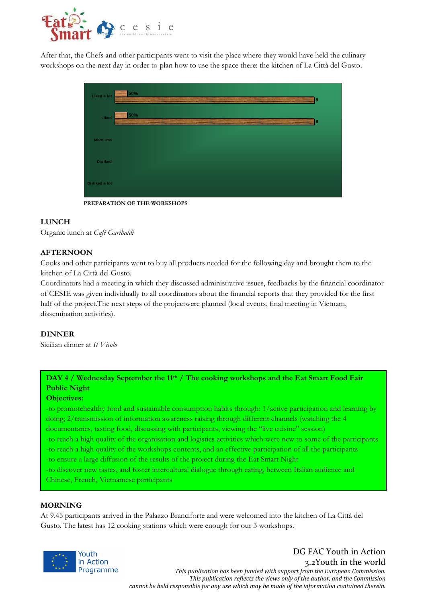

After that, the Chefs and other participants went to visit the place where they would have held the culinary workshops on the next day in order to plan how to use the space there: the kitchen of La Città del Gusto.



 **PREPARATION OF THE WORKSHOPS**

#### **LUNCH**

Organic lunch at *Café Garibaldi*

#### **AFTERNOON**

Cooks and other participants went to buy all products needed for the following day and brought them to the kitchen of La Città del Gusto.

Coordinators had a meeting in which they discussed administrative issues, feedbacks by the financial coordinator of CESIE was given individually to all coordinators about the financial reports that they provided for the first half of the project.The next steps of the projectwere planned (local events, final meeting in Vietnam, dissemination activities).

#### **DINNER**

Sicilian dinner at *Il Vicolo* 

## **DAY 4 / Wednesday September the 11th / The cooking workshops and the Eat Smart Food Fair Public Night**

#### **Objectives:**

-to promotehealthy food and sustainable consumption habits through: 1/active participation and learning by doing; 2/transmission of information awareness raising through different channels (watching the 4 documentaries, tasting food, discussing with participants, viewing the "live cuisine" session) -to reach a high quality of the organisation and logistics activities which were new to some of the participants -to reach a high quality of the workshops contents, and an effective participation of all the participants -to ensure a large diffusion of the results of the project during the Eat Smart Night -to discover new tastes, and foster intercultural dialogue through eating, between Italian audience and Chinese, French, Vietnamese participants

#### **MORNING**

At 9.45 participants arrived in the Palazzo Branciforte and were welcomed into the kitchen of La Città del Gusto. The latest has 12 cooking stations which were enough for our 3 workshops.



# DG EAC Youth in Action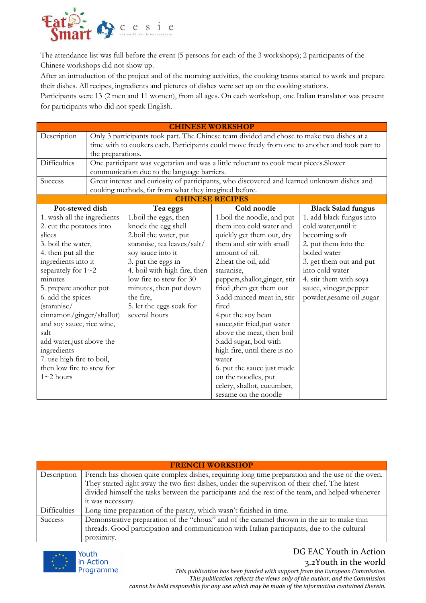

The attendance list was full before the event (5 persons for each of the 3 workshops); 2 participants of the Chinese workshops did not show up.

After an introduction of the project and of the morning activities, the cooking teams started to work and prepare their dishes. All recipes, ingredients and pictures of dishes were set up on the cooking stations.

Participants were 13 (2 men and 11 women), from all ages. On each workshop, one Italian translator was present for participants who did not speak English.

|                             |                                                                                           | <b>CHINESE WORKSHOP</b>                                                                        |                                |                            |
|-----------------------------|-------------------------------------------------------------------------------------------|------------------------------------------------------------------------------------------------|--------------------------------|----------------------------|
| Description                 | Only 3 participants took part. The Chinese team divided and chose to make two dishes at a |                                                                                                |                                |                            |
|                             |                                                                                           | time with to cookers each. Participants could move freely from one to another and took part to |                                |                            |
|                             |                                                                                           | the preparations.                                                                              |                                |                            |
| <b>Difficulties</b>         |                                                                                           | One participant was vegetarian and was a little reluctant to cook meat pieces. Slower          |                                |                            |
|                             |                                                                                           | communication due to the language barriers.                                                    |                                |                            |
| <b>Success</b>              |                                                                                           | Great interest and curiosity of participants, who discovered and learned unknown dishes and    |                                |                            |
|                             |                                                                                           | cooking methods, far from what they imagined before.                                           |                                |                            |
|                             |                                                                                           | <b>CHINESE RECIPES</b>                                                                         |                                |                            |
| Pot-stewed dish             |                                                                                           | Tea eggs                                                                                       | Cold noodle                    | <b>Black Salad fungus</b>  |
| 1. wash all the ingredients |                                                                                           | 1.boil the eggs, then                                                                          | 1.boil the noodle, and put     | 1. add black fungus into   |
| 2. cut the potatoes into    |                                                                                           | knock the egg shell                                                                            | them into cold water and       | cold water, until it       |
| slices                      |                                                                                           | 2.boil the water, put                                                                          | quickly get them out, dry      | becoming soft              |
| 3. boil the water,          |                                                                                           | staranise, tea leaves/salt/                                                                    | them and stir with small       | 2. put them into the       |
| 4. then put all the         |                                                                                           | soy sauce into it                                                                              | amount of oil.                 | boiled water               |
| ingredients into it         |                                                                                           | 3. put the eggs in                                                                             | 2.heat the oil, add            | 3. get them out and put    |
| separately for $1 \sim 2$   |                                                                                           | 4. boil with high fire, then                                                                   | staranise,                     | into cold water            |
| minutes                     |                                                                                           | low fire to stew for 30                                                                        | peppers, shallot, ginger, stir | 4. stir them with soya     |
| 5. prepare another pot      |                                                                                           | minutes, then put down                                                                         | fried, then get them out       | sauce, vinegar, pepper     |
| 6. add the spices           |                                                                                           | the fire,                                                                                      | 3.add minced meat in, stir     | powder, sesame oil , sugar |
| (staranise/                 |                                                                                           | 5. let the eggs soak for                                                                       | fired                          |                            |
| cinnamon/ginger/shallot)    |                                                                                           | several hours                                                                                  | 4.put the soy bean             |                            |
| and soy sauce, rice wine,   |                                                                                           |                                                                                                | sauce, stir fried, put water   |                            |
| salt                        |                                                                                           |                                                                                                | above the meat, then boil      |                            |
| add water, just above the   |                                                                                           |                                                                                                | 5.add sugar, boil with         |                            |
| ingredients                 |                                                                                           |                                                                                                | high fire, until there is no   |                            |
| 7. use high fire to boil,   |                                                                                           |                                                                                                | water                          |                            |
| then low fire to stew for   |                                                                                           |                                                                                                | 6. put the sauce just made     |                            |
| $1~2$ hours                 |                                                                                           |                                                                                                | on the noodles, put            |                            |
|                             |                                                                                           |                                                                                                | celery, shallot, cucumber,     |                            |
|                             |                                                                                           |                                                                                                | sesame on the noodle           |                            |

|                     | <b>FRENCH WORKSHOP</b>                                                                           |
|---------------------|--------------------------------------------------------------------------------------------------|
| Description         | French has chosen quite complex dishes, requiring long time preparation and the use of the oven. |
|                     | They started right away the two first dishes, under the supervision of their chef. The latest    |
|                     | divided himself the tasks between the participants and the rest of the team, and helped whenever |
|                     | it was necessary.                                                                                |
| <b>Difficulties</b> | Long time preparation of the pastry, which wasn't finished in time.                              |
| <b>Success</b>      | Demonstrative preparation of the "choux" and of the caramel thrown in the air to make thin       |
|                     | threads. Good participation and communication with Italian participants, due to the cultural     |
|                     | proximity.                                                                                       |
|                     |                                                                                                  |



## DG EAC Youth in Action 3.2Youth in the world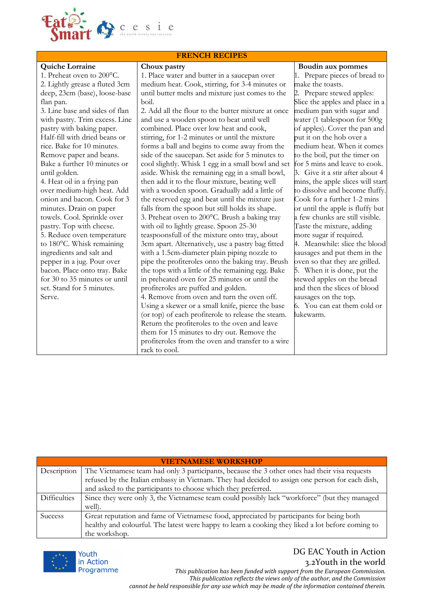

| 2. Lightly grease a fluted 3cm | medium heat. Cook, stirring, for 3-4 minutes or    | make the toasts.                  |
|--------------------------------|----------------------------------------------------|-----------------------------------|
| deep, 23cm (base), loose-base  | until butter melts and mixture just comes to the   | 2. Prepare stewed apples:         |
| flan pan.                      | boil.                                              | Slice the apples and place in a   |
| 3. Line base and sides of flan | 2. Add all the flour to the butter mixture at once | medium pan with sugar and         |
| with pastry. Trim excess. Line | and use a wooden spoon to beat until well          | water (1 tablespoon for 500g      |
| pastry with baking paper.      | combined. Place over low heat and cook,            | of apples). Cover the pan and     |
| Half-fill with dried beans or  | stirring, for 1-2 minutes or until the mixture     | put it on the hob over a          |
| rice. Bake for 10 minutes.     | forms a ball and begins to come away from the      | medium heat. When it comes        |
| Remove paper and beans.        | side of the saucepan. Set aside for 5 minutes to   | to the boil, put the timer on     |
| Bake a further 10 minutes or   | cool slightly. Whisk 1 egg in a small bowl and set | for 5 mins and leave to cook.     |
| until golden.                  | aside. Whisk the remaining egg in a small bowl,    | 3. Give it a stir after about 4   |
| 4. Heat oil in a frying pan    | then add it to the flour mixture, beating well     | mins, the apple slices will start |
| over medium-high heat. Add     | with a wooden spoon. Gradually add a little of     | to dissolve and become fluffy.    |
| onion and bacon. Cook for 3    | the reserved egg and beat until the mixture just   | Cook for a further 1-2 mins       |
| minutes. Drain on paper        | falls from the spoon but still holds its shape.    | or until the apple is fluffy but  |
| towels. Cool. Sprinkle over    | 3. Preheat oven to 200°C. Brush a baking tray      | a few chunks are still visible.   |
| pastry. Top with cheese.       | with oil to lightly grease. Spoon 25-30            | Taste the mixture, adding         |
| 5. Reduce oven temperature     | teaspoonsfull of the mixture onto tray, about      | more sugar if required.           |
| to 180°C. Whisk remaining      | 3cm apart. Alternatively, use a pastry bag fitted  | 4. Meanwhile: slice the blood     |
| ingredients and salt and       | with a 1.5cm-diameter plain piping nozzle to       | sausages and put them in the      |
| pepper in a jug. Pour over     | pipe the profiteroles onto the baking tray. Brush  | oven so that they are grilled.    |
| bacon. Place onto tray. Bake   | the tops with a little of the remaining egg. Bake  | 5. When it is done, put the       |
| for 30 to 35 minutes or until  | in preheated oven for 25 minutes or until the      | stewed apples on the bread        |
| set. Stand for 5 minutes.      | profiteroles are puffed and golden.                | and then the slices of blood      |
| Serve.                         | 4. Remove from oven and turn the oven off.         | sausages on the top.              |
|                                | Using a skewer or a small knife, pierce the base   | 6. You can eat them cold or       |
|                                | (or top) of each profiterole to release the steam. | lukewarm.                         |
|                                | Return the profiteroles to the oven and leave      |                                   |
|                                | them for 15 minutes to dry out. Remove the         |                                   |
|                                | profiteroles from the oven and transfer to a wire  |                                   |
|                                | rack to cool.                                      |                                   |

|                     | <b>VIETNAMESE WORKSHOP</b>                                                                        |
|---------------------|---------------------------------------------------------------------------------------------------|
| Description         | The Vietnamese team had only 3 participants, because the 3 other ones had their visa requests     |
|                     | refused by the Italian embassy in Vietnam. They had decided to assign one person for each dish,   |
|                     | and asked to the participants to choose which they preferred.                                     |
| <b>Difficulties</b> | Since they were only 3, the Vietnamese team could possibly lack "workforce" (but they managed     |
|                     | well).                                                                                            |
| <b>Success</b>      | Great reputation and fame of Vietnamese food, appreciated by participants for being both          |
|                     | healthy and colourful. The latest were happy to learn a cooking they liked a lot before coming to |
|                     | the workshop.                                                                                     |



### DG EAC Youth in Action 3.2Youth in the world

**Boudin aux pommes**  1. Prepare pieces of bread to

## *This publication has been funded with support from the European Commission. This publication reflects the views only of the author, and the Commission cannot be held responsible for any use which may be made of the information contained therein.*

#### **FRENCH RECIPES**

1. Place water and butter in a saucepan over

**Choux pastry** 

#### **Quiche Lorraine**

1. Preheat oven to 200°C. 2. Lightly grease a fluted 3cm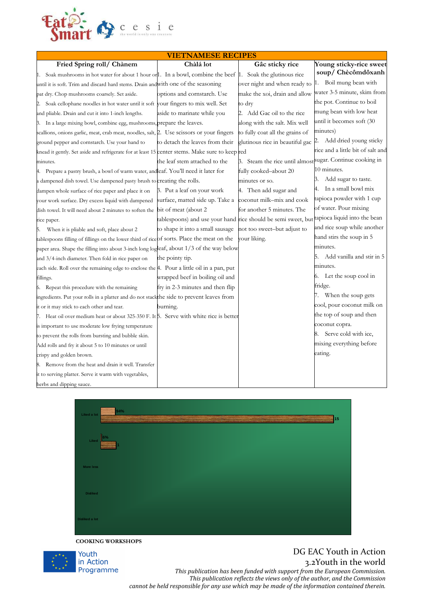

|                                                                                                                | <b>VIETNAMESE RECIPES</b>                                                                 |                                                           |                                   |  |  |
|----------------------------------------------------------------------------------------------------------------|-------------------------------------------------------------------------------------------|-----------------------------------------------------------|-----------------------------------|--|--|
| Fried Spring roll/ Chànem                                                                                      | Chàlá lot                                                                                 | Gâc sticky rice                                           | Young sticky-rice sweet           |  |  |
| Soak mushrooms in hot water for about 1 hour ord. In a bowl, combine the beef 1. Soak the glutinous rice<br>1. |                                                                                           |                                                           | soup/ Chècômdôxanh                |  |  |
| until it is soft. Trim and discard hard stems. Drain and with one of the seasoning                             |                                                                                           | over night and when ready to                              | Boil mung bean with               |  |  |
| pat dry. Chop mushrooms coarsely. Set aside.                                                                   | options and cornstarch. Use                                                               | make the xoi, drain and allow                             | water 3-5 minute, skim from       |  |  |
| Soak cellophane noodles in hot water until it soft your fingers to mix well. Set<br>2.                         |                                                                                           | to drv                                                    | the pot. Continue to boil         |  |  |
| and pliable. Drain and cut it into 1-inch lengths.                                                             | aside to marinate while you                                                               | 2. Add Gac oil to the rice                                | mung bean with low heat           |  |  |
| 3. In a large mixing bowl, combine egg, mushrooms, prepare the leaves.                                         |                                                                                           | along with the salt. Mix well                             | until it becomes soft (30         |  |  |
| scallions, onions garlic, meat, crab meat, noodles, salt, 2. Use scissors or your fingers                      |                                                                                           | to fully coat all the grains of                           | ninutes)                          |  |  |
| ground pepper and cornstarch. Use your hand to                                                                 | to detach the leaves from their                                                           | glutinous rice in beautiful gac                           | 2. Add dried young sticky         |  |  |
| knead it gently. Set aside and refrigerate for at least 15 center stems. Make sure to keep red                 |                                                                                           |                                                           | rice and a little bit of salt and |  |  |
| minutes.                                                                                                       | the leaf stem attached to the                                                             | 3. Steam the rice until almost sugar. Continue cooking in |                                   |  |  |
| 4. Prepare a pastry brush, a bowl of warm water, and eaf. You'll need it later for                             |                                                                                           | fully cooked-about 20                                     | 10 minutes.                       |  |  |
| a dampened dish towel. Use dampened pasty brush to creating the rolls.                                         |                                                                                           | minutes or so.                                            | 3. Add sugar to taste.            |  |  |
| dampen whole surface of rice paper and place it on                                                             | 3. Put a leaf on your work                                                                | 4. Then add sugar and                                     | 4. In a small bowl mix            |  |  |
| your work surface. Dry excess liquid with dampened                                                             | surface, matted side up. Take a                                                           | coconut milk-mix and cook                                 | tapioca powder with 1 cup         |  |  |
| dish towel. It will need about 2 minutes to soften the                                                         | bit of meat (about 2                                                                      | for another 5 minutes. The                                | of water. Pour mixing             |  |  |
| rice paper.                                                                                                    | tablespoons) and use your hand rice should be semi sweet, but apioca liquid into the bean |                                                           |                                   |  |  |
| When it is pliable and soft, place about 2<br>5.                                                               | to shape it into a small sausage                                                          | not too sweet-but adjust to                               | and rice soup while another       |  |  |
| tablespoons filling of fillings on the lower third of riceof sorts. Place the meat on the                      |                                                                                           | your liking.                                              | hand stirs the soup in 5          |  |  |
| paper area. Shape the filling into about 3-inch long logleaf, about 1/3 of the way below                       |                                                                                           |                                                           | minutes.                          |  |  |
| and 3/4-inch diameter. Then fold in rice paper on                                                              | the pointy tip.                                                                           |                                                           | 5. Add vanilla and stir in 5      |  |  |
| each side. Roll over the remaining edge to enclose the 4. Pour a little oil in a pan, put                      |                                                                                           |                                                           | minutes.                          |  |  |
| fillings.                                                                                                      | wrapped beef in boiling oil and                                                           |                                                           | 6. Let the soup cool in           |  |  |
| 6. Repeat this procedure with the remaining                                                                    | fry in 2-3 minutes and then flip                                                          |                                                           | fridge.                           |  |  |
| ingredients. Put your rolls in a platter and do not stack the side to prevent leaves from                      |                                                                                           |                                                           | 7. When the soup gets             |  |  |
| it or it may stick to each other and tear.                                                                     | burning.                                                                                  |                                                           | cool, pour coconut milk on        |  |  |
| 7. Heat oil over medium heat or about 325-350 F. It 5. Serve with white rice is better                         |                                                                                           |                                                           | the top of soup and then          |  |  |
| is important to use moderate low frying temperature                                                            |                                                                                           |                                                           | coconut copra.                    |  |  |
| to prevent the rolls from bursting and bubble skin.                                                            |                                                                                           |                                                           | 8. Serve cold with ice,           |  |  |
| Add rolls and fry it about 5 to 10 minutes or until                                                            |                                                                                           |                                                           | mixing everything before          |  |  |
| crispy and golden brown.                                                                                       |                                                                                           |                                                           | eating.                           |  |  |
| 8. Remove from the heat and drain it well. Transfer                                                            |                                                                                           |                                                           |                                   |  |  |
| it to serving platter. Serve it warm with vegetables,                                                          |                                                                                           |                                                           |                                   |  |  |
| herbs and dipping sauce.                                                                                       |                                                                                           |                                                           |                                   |  |  |



**COOKING WORKSHOPS** 



## DG EAC Youth in Action 3.2Youth in the world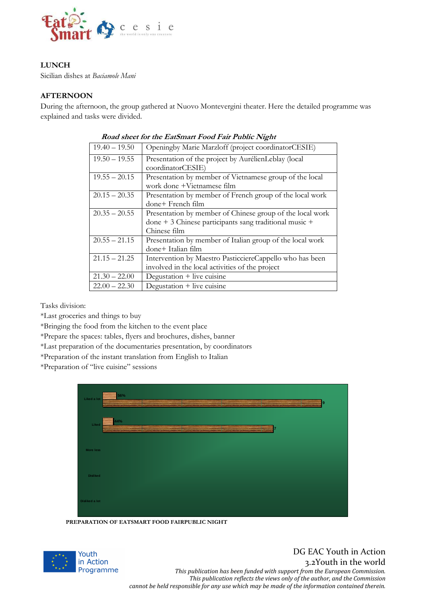

#### **LUNCH**  Sicilian dishes at *Baciamole Mani*

#### **AFTERNOON**

During the afternoon, the group gathered at Nuovo Montevergini theater. Here the detailed programme was explained and tasks were divided.

|                 | $\frac{1}{2}$ and the material $\frac{1}{2}$ over 1 and 1 apple 1 applies |
|-----------------|---------------------------------------------------------------------------|
| $19.40 - 19.50$ | Openingby Marie Marzloff (project coordinatorCESIE)                       |
| $19.50 - 19.55$ | Presentation of the project by AurélienLeblay (local                      |
|                 | coordinatorCESIE)                                                         |
| $19.55 - 20.15$ | Presentation by member of Vietnamese group of the local                   |
|                 | work done +Vietnamese film                                                |
| $20.15 - 20.35$ | Presentation by member of French group of the local work                  |
|                 | done+ French film                                                         |
| $20.35 - 20.55$ | Presentation by member of Chinese group of the local work                 |
|                 | done + 3 Chinese participants sang traditional music +                    |
|                 | Chinese film                                                              |
| $20.55 - 21.15$ | Presentation by member of Italian group of the local work                 |
|                 | done+ Italian film                                                        |
| $21.15 - 21.25$ | Intervention by Maestro PasticciereCappello who has been                  |
|                 | involved in the local activities of the project                           |
| $21.30 - 22.00$ | Degustation $+$ live cuisine                                              |
| $22.00 - 22.30$ | Degustation $+$ live cuisine                                              |

 **Road sheet for the EatSmart Food Fair Public Night**

Tasks division:

\*Last groceries and things to buy

\*Bringing the food from the kitchen to the event place

\*Prepare the spaces: tables, flyers and brochures, dishes, banner

- \*Last preparation of the documentaries presentation, by coordinators
- \*Preparation of the instant translation from English to Italian

\*Preparation of "live cuisine" sessions



**PREPARATION OF EATSMART FOOD FAIRPUBLIC NIGHT** 



 DG EAC Youth in Action 3.2Youth in the world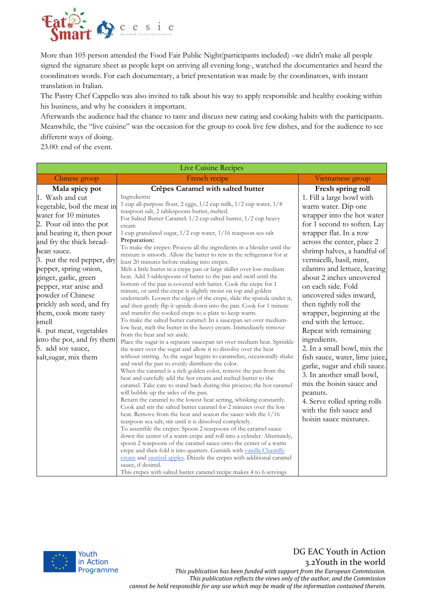

More than 105 person attended the Food Fair Public Night(participants included) –we didn't make all people signed the signature sheet as people kept on arriving all evening long-, watched the documentaries and heard the coordinators words. For each documentary, a brief presentation was made by the coordinators, with instant translation in Italian.

The Pastry Chef Cappello was also invited to talk about his way to apply responsible and healthy cooking within his business, and why he considers it important.

Afterwards the audience had the chance to taste and discuss new eating and cooking habits with the participants. Meanwhile, the "live cuisine" was the occasion for the group to cook live few dishes, and for the audience to see different ways of doing.

23.00: end of the event.

| <b>Live Cuisine Recipes</b>                                                                                                                                                                                                                                                                                                                                                                                                                                                                       |                                                                                                                                                                                                                                                                                                                                                                                                                                                                                                                                                                                                                                                                                                                                                                                                                                                                                                                                                                                                                                                                                                                                                                                                                                                                                                                                                                                                                                                                                                                                                                                                                                                                                                                                                                                                                                                                                                                                                                                                                                                                                                                                                                     |                                                                                                                                                                                                                                                                                                                                                                                                                                                                                                                                                                                                                                                                                                                                                          |  |  |
|---------------------------------------------------------------------------------------------------------------------------------------------------------------------------------------------------------------------------------------------------------------------------------------------------------------------------------------------------------------------------------------------------------------------------------------------------------------------------------------------------|---------------------------------------------------------------------------------------------------------------------------------------------------------------------------------------------------------------------------------------------------------------------------------------------------------------------------------------------------------------------------------------------------------------------------------------------------------------------------------------------------------------------------------------------------------------------------------------------------------------------------------------------------------------------------------------------------------------------------------------------------------------------------------------------------------------------------------------------------------------------------------------------------------------------------------------------------------------------------------------------------------------------------------------------------------------------------------------------------------------------------------------------------------------------------------------------------------------------------------------------------------------------------------------------------------------------------------------------------------------------------------------------------------------------------------------------------------------------------------------------------------------------------------------------------------------------------------------------------------------------------------------------------------------------------------------------------------------------------------------------------------------------------------------------------------------------------------------------------------------------------------------------------------------------------------------------------------------------------------------------------------------------------------------------------------------------------------------------------------------------------------------------------------------------|----------------------------------------------------------------------------------------------------------------------------------------------------------------------------------------------------------------------------------------------------------------------------------------------------------------------------------------------------------------------------------------------------------------------------------------------------------------------------------------------------------------------------------------------------------------------------------------------------------------------------------------------------------------------------------------------------------------------------------------------------------|--|--|
| Chinese group                                                                                                                                                                                                                                                                                                                                                                                                                                                                                     | French recipe                                                                                                                                                                                                                                                                                                                                                                                                                                                                                                                                                                                                                                                                                                                                                                                                                                                                                                                                                                                                                                                                                                                                                                                                                                                                                                                                                                                                                                                                                                                                                                                                                                                                                                                                                                                                                                                                                                                                                                                                                                                                                                                                                       | Vietnamese group                                                                                                                                                                                                                                                                                                                                                                                                                                                                                                                                                                                                                                                                                                                                         |  |  |
| Mala spicy pot<br>1. Wash and cut<br>vegetable, boil the meat in<br>water for 10 minutes<br>2. Pour oil into the pot<br>and heating it, then pour<br>and fry the thick bread-<br>bean sauce.<br>3. put the red pepper, dry<br>pepper, spring onion,<br>ginger, garlic, green<br>pepper, star anise and<br>powder of Chinese<br>prickly ash seed, and fry<br>them, cook more tasty<br>smell<br>4. put meat, vegetables<br>into the pot, and fry them<br>5. add soy sauce,<br>salt, sugar, mix them | Crêpes Caramel with salted butter<br>Ingredients:<br>1 cup all-purpose flour, 2 eggs, 1/2 cup milk, 1/2 cup water, 1/4<br>teaspoon salt, 2 tablespoons butter, melted.<br>For Salted Butter Caramel: 1/2 cup salted butter, 1/2 cup heavy<br>cream<br>1 cup granulated sugar, 1/2 cup water, 1/16 teaspoon sea salt<br>Preparation:<br>To make the crepes: Process all the ingredients in a blender until the<br>mixture is smooth. Allow the batter to rest in the refrigerator for at<br>least 20 minutes before making into crepes.<br>Melt a little butter in a crepe pan or large skillet over low-medium<br>heat. Add 3 tablespoons of batter to the pan and swirl until the<br>bottom of the pan is covered with batter. Cook the crepe for 1<br>minute, or until the crepe is slightly moist on top and golden<br>underneath. Loosen the edges of the crepe, slide the spatula under it,<br>and then gently flip it upside down into the pan. Cook for 1 minute<br>and transfer the cooked crepe to a plate to keep warm.<br>To make the salted butter caramel: In a saucepan set over medium-<br>low heat, melt the butter in the heavy cream. Immediately remove<br>from the heat and set aside.<br>Place the sugar in a separate saucepan set over medium heat. Sprinkle<br>the water over the sugar and allow it to dissolve over the heat<br>without stirring. As the sugar begins to caramelize, occasionally shake<br>and swirl the pan to evenly distribute the color.<br>When the caramel is a rich golden color, remove the pan from the<br>heat and carefully add the hot cream and melted butter to the<br>caramel. Take care to stand back during this process; the hot caramel<br>will bubble up the sides of the pan.<br>Return the caramel to the lowest heat setting, whisking constantly.<br>Cook and stir the salted butter caramel for 2 minutes over the low<br>heat. Remove from the heat and season the sauce with the 1/16<br>teaspoon sea salt; stir until it is dissolved completely.<br>To assemble the crepes: Spoon 2 teaspoons of the caramel sauce<br>down the center of a warm crepe and roll into a cylinder. Alternately, | Fresh spring roll<br>1. Fill a large bowl with<br>warm water. Dip one<br>wrapper into the hot water<br>for 1 second to soften. Lay<br>wrapper flat. In a row<br>across the center, place 2<br>shrimp halves, a handful of<br>vermicelli, basil, mint,<br>cilantro and lettuce, leaving<br>about 2 inches uncovered<br>on each side. Fold<br>uncovered sides inward,<br>then tightly roll the<br>wrapper, beginning at the<br>end with the lettuce.<br>Repeat with remaining<br>ingredients.<br>2. In a small bowl, mix the<br>fish sauce, water, lime juice,<br>garlic, sugar and chili sauce.<br>3. In another small bowl,<br>mix the hoisin sauce and<br>peanuts.<br>4. Serve rolled spring rolls<br>with the fish sauce and<br>hoisin sauce mixtures. |  |  |



#### DG EAC Youth in Action 3.2Youth in the world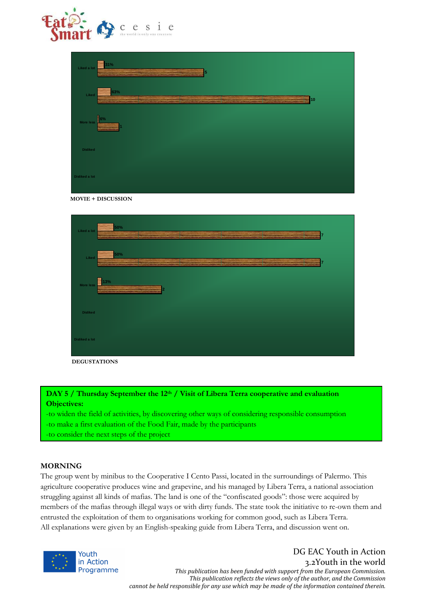

| Liked a lot    | 31%<br>5     |
|----------------|--------------|
| Liked          | 63%<br>10    |
| More less      | $\mathbf{e}$ |
| Disliked       |              |
| Disliked a lot |              |

 **MOVIE + DISCUSSION**

| Liked a lot    | 50% |
|----------------|-----|
| Liked          | 50% |
| More less      | 13% |
| Disliked       |     |
| Disliked a lot |     |

 **DEGUSTATIONS** 

#### **DAY 5 / Thursday September the 12th / Visit of Libera Terra cooperative and evaluation Objectives:**

-to widen the field of activities, by discovering other ways of considering responsible consumption -to make a first evaluation of the Food Fair, made by the participants -to consider the next steps of the project

#### **MORNING**

The group went by minibus to the Cooperative I Cento Passi, located in the surroundings of Palermo. This agriculture cooperative produces wine and grapevine, and his managed by Libera Terra, a national association struggling against all kinds of mafias. The land is one of the "confiscated goods": those were acquired by members of the mafias through illegal ways or with dirty funds. The state took the initiative to re-own them and entrusted the exploitation of them to organisations working for common good, such as Libera Terra. All explanations were given by an English-speaking guide from Libera Terra, and discussion went on.



# DG EAC Youth in Action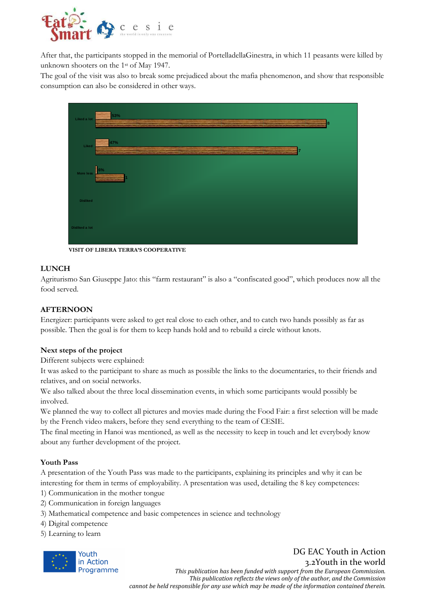

After that, the participants stopped in the memorial of PortelladellaGinestra, in which 11 peasants were killed by unknown shooters on the 1st of May 1947.

The goal of the visit was also to break some prejudiced about the mafia phenomenon, and show that responsible consumption can also be considered in other ways.

| Liked a lot    | 53%<br>8 |
|----------------|----------|
| Liked          | 47%      |
| More less      | $\log$   |
| Disliked       |          |
| Disliked a lot |          |

 **VISIT OF LIBERA TERRA'S COOPERATIVE** 

#### **LUNCH**

Agriturismo San Giuseppe Jato: this "farm restaurant" is also a "confiscated good", which produces now all the food served.

#### **AFTERNOON**

Energizer: participants were asked to get real close to each other, and to catch two hands possibly as far as possible. Then the goal is for them to keep hands hold and to rebuild a circle without knots.

#### **Next steps of the project**

Different subjects were explained:

It was asked to the participant to share as much as possible the links to the documentaries, to their friends and relatives, and on social networks.

We also talked about the three local dissemination events, in which some participants would possibly be involved.

We planned the way to collect all pictures and movies made during the Food Fair: a first selection will be made by the French video makers, before they send everything to the team of CESIE.

The final meeting in Hanoi was mentioned, as well as the necessity to keep in touch and let everybody know about any further development of the project.

#### **Youth Pass**

A presentation of the Youth Pass was made to the participants, explaining its principles and why it can be interesting for them in terms of employability. A presentation was used, detailing the 8 key competences:

- 1) Communication in the mother tongue
- 2) Communication in foreign languages
- 3) Mathematical competence and basic competences in science and technology
- 4) Digital competence
- 5) Learning to learn



#### DG EAC Youth in Action 3.2Youth in the world